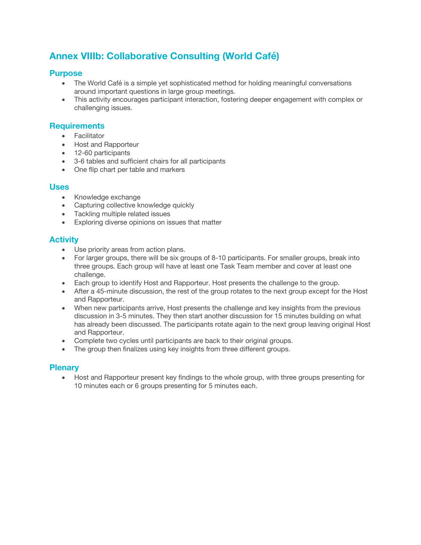# **Annex VIIIb: Collaborative Consulting (World Café)**

### **Purpose**

- The World Café is a simple yet sophisticated method for holding meaningful conversations around important questions in large group meetings.
- This activity encourages participant interaction, fostering deeper engagement with complex or challenging issues.

#### **Requirements**

- Facilitator
- Host and Rapporteur
- 12-60 participants
- 3-6 tables and sufficient chairs for all participants
- One flip chart per table and markers

#### **Uses**

- Knowledge exchange
- Capturing collective knowledge quickly
- Tackling multiple related issues
- Exploring diverse opinions on issues that matter

#### **Activity**

- Use priority areas from action plans.
- For larger groups, there will be six groups of 8-10 participants. For smaller groups, break into three groups. Each group will have at least one Task Team member and cover at least one challenge.
- Each group to identify Host and Rapporteur. Host presents the challenge to the group.
- After a 45-minute discussion, the rest of the group rotates to the next group except for the Host and Rapporteur.
- When new participants arrive, Host presents the challenge and key insights from the previous discussion in 3-5 minutes. They then start another discussion for 15 minutes building on what has already been discussed. The participants rotate again to the next group leaving original Host and Rapporteur.
- Complete two cycles until participants are back to their original groups.
- The group then finalizes using key insights from three different groups.

#### **Plenary**

• Host and Rapporteur present key findings to the whole group, with three groups presenting for 10 minutes each or 6 groups presenting for 5 minutes each.